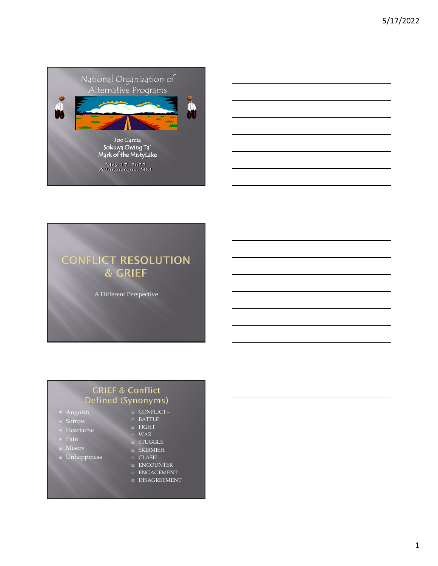

## **CONFLICT RESOLUTION** & GRIEF

A Different Perspective

#### **GRIEF & Conflict** Defined (Synonyms)

- $\overline{\blacksquare}$  Anguish
- Sorrow
- Heartache
- 
- 
- **DE Unhappiness**
- CONFLICT –
- BATTLE  $E$  FIGHT
- WAR
- **B** STUGGLE
- $\overline{B}$  SKIRMISH
- CLASH
- **ENCOUNTER**
- **ENGAGEMENT**
- **E** DISAGREEMENT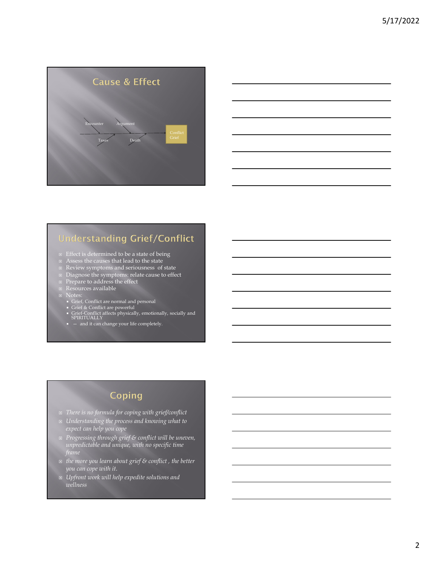



## **Understanding Grief/Conflict**

- $\scriptstyle\boxdot$   $\,$  Effect is determined to be a state of being
- Assess the causes that lead to the state
- Review symptoms and seriousness of state
- Diagnose the symptoms: relate cause to effect
- Prepare to address the effect
- Resources available
- -
	-
- **Notes:**<br>
 Grief, Conflict are powerful<br>
 Grief & Conflict affects physically, emotionally, socially and<br>
 Grief-Conflict affects physically, emotionally, socially and<br>
SPIRITUALLY<br>
 — and it can change your life co
	-

## Coping

- *There is no formula for coping with grief/conflict*
- *Understanding the process and knowing what to expect can help you cope*
- *Progressing through grief & conflict will be uneven, unpredictable and unique, with no specific time frame*
- *the more you learn about grief & conflict , the better you can cope with it*.
- *Upfront work will help expedite solutions and wellness*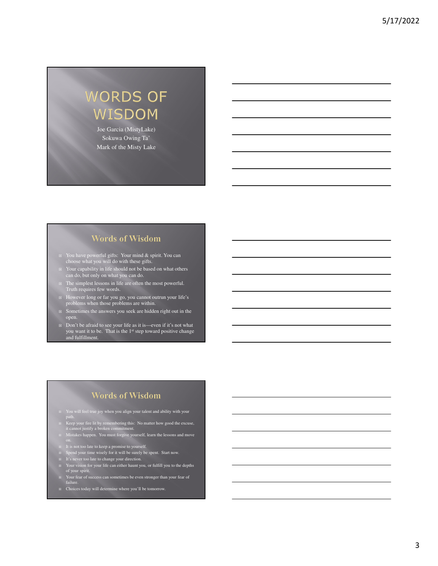# **WORDS OF** WISDOM

Joe Garcia (MistyLake) Sokuwa Owing Ta' Mark of the Misty Lake

#### **Words of Wisdom**

- You have powerful gifts: Your mind & spirit. You can choose what you will do with these gifts.
- □ Your capability in life should not be based on what others can do, but only on what you can do.
- □ The simplest lessons in life are often the most powerful. Truth requires few words.
- However long or far you go, you cannot outrun your life's problems when those problems are within.
- □ Sometimes the answers you seek are hidden right out in the open.
- Don't be afraid to see your life as it is—even if it's not what you want it to be. That is the 1<sup>st</sup> step toward positive change and fulfillment.

#### **Words of Wisdom**

- You will feel true joy when you align your talent and ability with your path.
- Keep your fire lit by remembering this: No matter how good the excuse, it cannot justify a broken commitment.
- Mistakes happen. You must forgive yourself, learn the lessons and move
- It is not too late to keep a promise to yourself.
- □ Spend your time wisely for it will be surely be spent. Start now.
- It's never too late to change your direction.
- Your vision for your life can either haunt you, or fulfill you to the depths of your spirit.
- Your fear of success can sometimes be even stronger than your fear of failure.
- □ Choices today will determine where you'll be tomorrow.